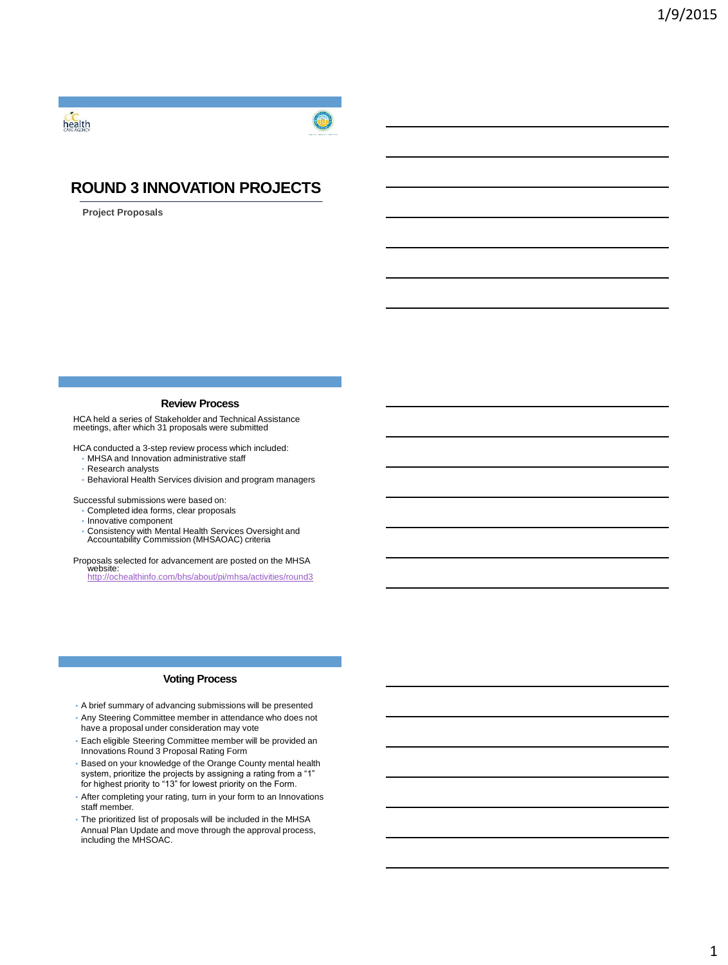



# **ROUND 3 INNOVATION PROJECTS**

**Project Proposals**

# **Review Process**

HCA held a series of Stakeholder and Technical Assistance meetings, after which 31 proposals were submitted

HCA conducted a 3-step review process which included:

- MHSA and Innovation administrative staff
- Research analysts
- Behavioral Health Services division and program managers

Successful submissions were based on:

- Completed idea forms, clear proposals
- Innovative component
- Consistency with Mental Health Services Oversight and Accountability Commission (MHSAOAC) criteria

Proposals selected for advancement are posted on the MHSA website: <http://ochealthinfo.com/bhs/about/pi/mhsa/activities/round3>

# **Voting Process**

- A brief summary of advancing submissions will be presented • Any Steering Committee member in attendance who does not
- have a proposal under consideration may vote
- Each eligible Steering Committee member will be provided an Innovations Round 3 Proposal Rating Form
- Based on your knowledge of the Orange County mental health system, prioritize the projects by assigning a rating from a "1" for highest priority to "13" for lowest priority on the Form.
- After completing your rating, turn in your form to an Innovations staff member.
- The prioritized list of proposals will be included in the MHSA Annual Plan Update and move through the approval process, including the MHSOAC.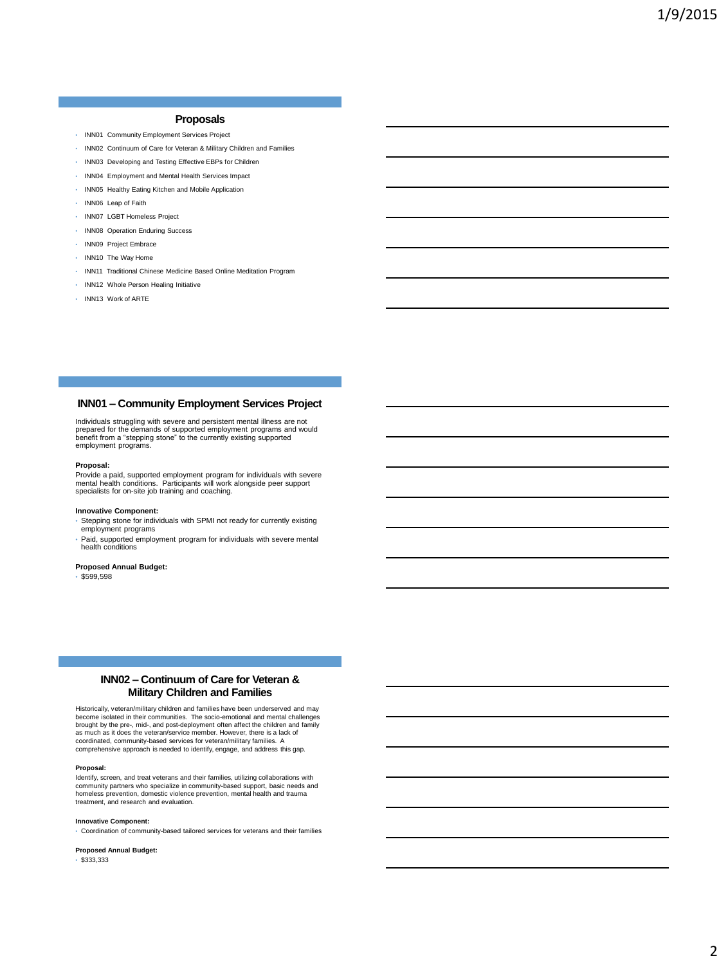# **Proposals**

- INN01 Community Employment Services Project
- INN02 Continuum of Care for Veteran & Military Children and Families
- INN03 Developing and Testing Effective EBPs for Children
- INN04 Employment and Mental Health Services Impact
- INN05 Healthy Eating Kitchen and Mobile Application
- INN06 Leap of Faith
- INN07 LGBT Homeless Project
- INN08 Operation Enduring Success
- INN09 Project Embrace
- INN10 The Way Home
- INN11 Traditional Chinese Medicine Based Online Meditation Program
- INN12 Whole Person Healing Initiative
- INN13 Work of ARTE

# **INN01 – Community Employment Services Project**

Individuals struggling with severe and persistent mental illness are not prepared for the demands of supported employment programs and would benefit from a "stepping stone" to the currently existing supported employment programs.

#### **Proposal:**

Provide a paid, supported employment program for individuals with severe mental health conditions. Participants will work alongside peer support specialists for on-site job training and coaching.

## **Innovative Component:**

- Stepping stone for individuals with SPMI not ready for currently existing employment programs
- Paid, supported employment program for individuals with severe mental health conditions

# **Proposed Annual Budget:**

• \$599,598

# **INN02 – Continuum of Care for Veteran & Military Children and Families**

Historically, veteran/military children and families have been underserved and may become isolated in their communities. The socio-emotional and mental challenges brought by the pre-, mid-, and post-deployment often affect the children and family<br>as much as it does the veteran/service member. However, there is a lack of<br>coordinated, community-based services for veteran/military fami comprehensive approach is needed to identify, engage, and address this gap.

#### **Proposal:**

Identify, screen, and treat veterans and their families, utilizing collaborations with community partners who specialize in community-based support, basic needs and homeless prevention, domestic violence prevention, mental health and trauma treatment, and research and evaluation.

#### **Innovative Component:**

• Coordination of community-based tailored services for veterans and their families

## **Proposed Annual Budget:**

• \$333,333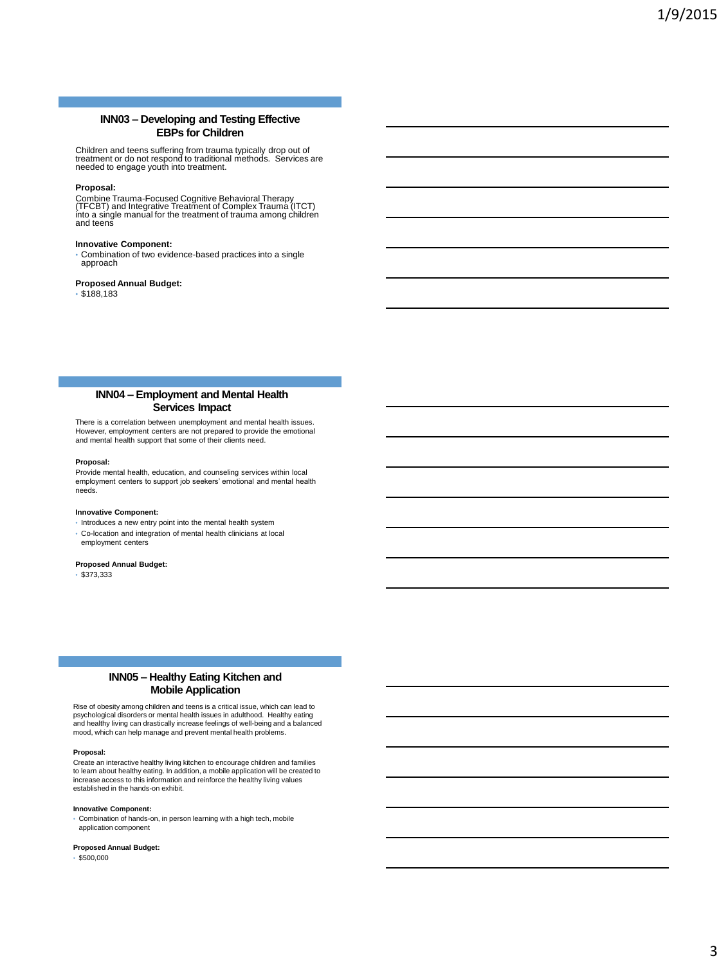# **INN03 – Developing and Testing Effective EBPs for Children**

Children and teens suffering from trauma typically drop out of treatment or do not respond to traditional methods. Services are needed to engage youth into treatment.

# **Proposal:**

Combine Trauma-Focused Cognitive Behavioral Therapy<br>(TFCBT) and Integrative Treatment of Complex Trauma (ITCT)<br>into a single manual for the treatment of trauma among children and teens

# **Innovative Component:**

• Combination of two evidence-based practices into a single approach

# **Proposed Annual Budget:**

• \$188,183

# **INN04 – Employment and Mental Health Services Impact**

There is a correlation between unemployment and mental health issues. However, employment centers are not prepared to provide the emotional and mental health support that some of their clients need.

## **Proposal:**

Provide mental health, education, and counseling services within local employment centers to support job seekers' emotional and mental health needs.

#### **Innovative Component:**

- Introduces a new entry point into the mental health system
- Co-location and integration of mental health clinicians at local employment centers

## **Proposed Annual Budget:**

• \$373,333

# **INN05 – Healthy Eating Kitchen and Mobile Application**

Rise of obesity among children and teens is a critical issue, which can lead to psychological disorders or mental health issues in adulthood. Healthy eating and healthy living can drastically increase feelings of well-being and a balanced mood, which can help manage and prevent mental health problems.

## **Proposal:**

Create an interactive healthy living kitchen to encourage children and families to learn about healthy eating. In addition, a mobile application will be created to increase access to this information and reinforce the healthy living values established in the hands-on exhibit.

#### **Innovative Component:**

• Combination of hands-on, in person learning with a high tech, mobile application component

#### **Proposed Annual Budget:**

• \$500,000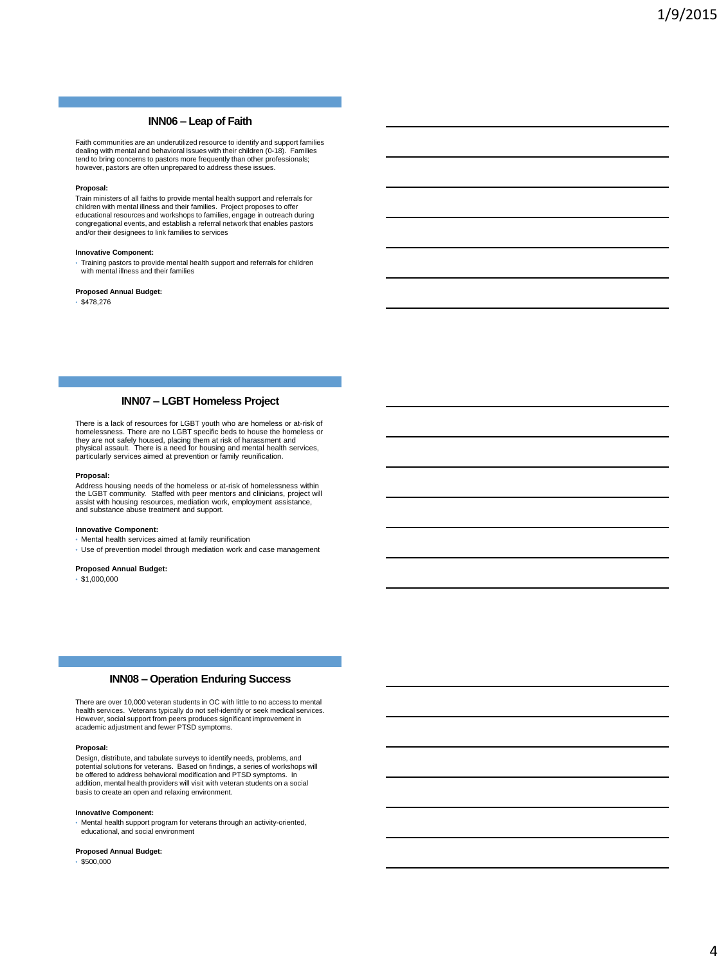# **INN06 – Leap of Faith**

Faith communities are an underutilized resource to identify and support families dealing with mental and behavioral issues with their children (0-18). Families tend to bring concerns to pastors more frequently than other professionals; however, pastors are often unprepared to address these issues.

#### **Proposal:**

Train ministers of all faiths to provide mental health support and referrals for children with mental illness and their families. Project proposes to offer educational resources and workshops to families, engage in outreach during congregational events, and establish a referral network that enables pastors and/or their designees to link families to services

#### **Innovative Component:**

• Training pastors to provide mental health support and referrals for children with mental illness and their families

## **Proposed Annual Budget:**

 $•$ \$478,276

# **INN07 – LGBT Homeless Project**

There is a lack of resources for LGBT youth who are homeless or at-risk of<br>homelessness. There are no LGBT specific beds to house the homeless or<br>they are not safely housed, placing them at risk of harassment and<br>physical

## **Proposal:**

Address housing needs of the homeless or at-risk of homelessness within the LGBT community. Staffed with peer mentors and clinicians, project will assist with housing resources, mediation work, employment assistance, and substance abuse treatment and support.

#### **Innovative Component:**

- Mental health services aimed at family reunification
- Use of prevention model through mediation work and case management

# **Proposed Annual Budget:**

 $\cdot$  \$1,000,000

# **INN08 – Operation Enduring Success**

There are over 10,000 veteran students in OC with little to no access to mental health services. Veterans typically do not self-identify or seek medical services. However, social support from peers produces significant improvement in academic adjustment and fewer PTSD symptoms.

#### **Proposal:**

Design, distribute, and tabulate surveys to identify needs, problems, and potential solutions for veterans. Based on findings, a series of workshops will be offered to address behavioral modification and PTSD symptoms. In addition, mental health providers will visit with veteran students on a social basis to create an open and relaxing environment.

#### **Innovative Component:**

• Mental health support program for veterans through an activity-oriented, educational, and social environment

## **Proposed Annual Budget:**

• \$500,000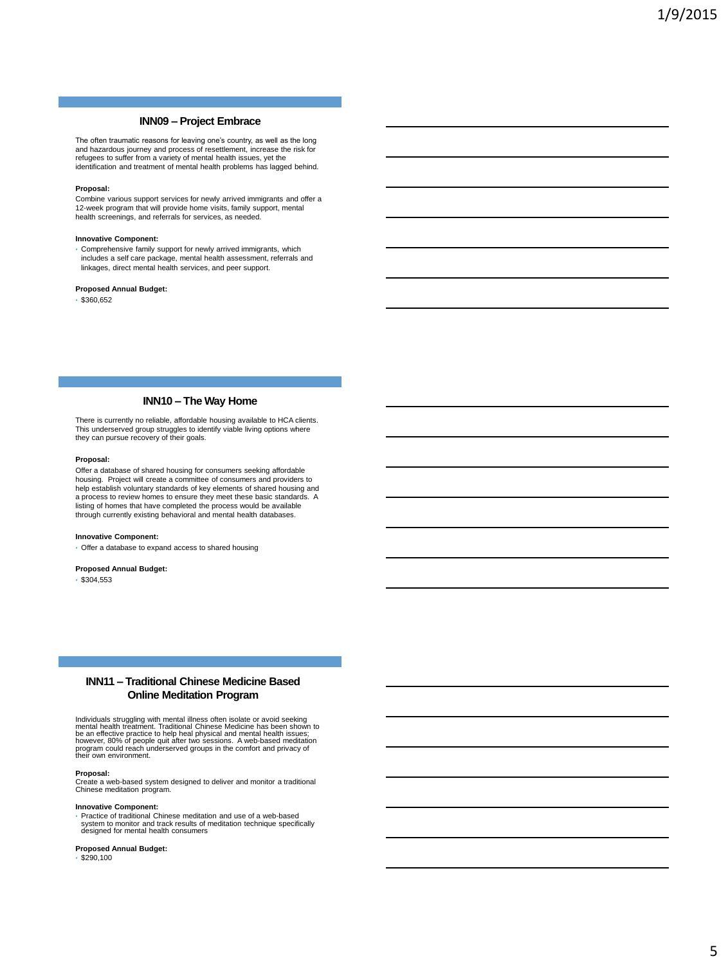# **INN09 – Project Embrace**

The often traumatic reasons for leaving one's country, as well as the long and hazardous journey and process of resettlement, increase the risk for refugees to suffer from a variety of mental health issues, yet the identification and treatment of mental health problems has lagged behind.

#### **Proposal:**

Combine various support services for newly arrived immigrants and offer a 12-week program that will provide home visits, family support, mental health screenings, and referrals for services, as needed.

# **Innovative Component:**

• Comprehensive family support for newly arrived immigrants, which includes a self care package, mental health assessment, referrals and linkages, direct mental health services, and peer support.

# **Proposed Annual Budget:**

 $•$ \$360,652

# **INN10 – The Way Home**

There is currently no reliable, affordable housing available to HCA clients. This underserved group struggles to identify viable living options where they can pursue recovery of their goals.

## **Proposal:**

Offer a database of shared housing for consumers seeking affordable housing. Project will create a committee of consumers and providers to help establish voluntary standards of key elements of shared housing and a process to review homes to ensure they meet these basic standards. A listing of homes that have completed the process would be available through currently existing behavioral and mental health databases.

## **Innovative Component:**

• Offer a database to expand access to shared housing

# **Proposed Annual Budget:**

• \$304,553

# **INN11 – Traditional Chinese Medicine Based Online Meditation Program**

Individuals struggling with mental illness often isolate or avoid seeking<br>mental health treatment. Traditional Chinese Medicine has been shown to<br>be an effective practice to help heal physical and mental health issues;<br>how

#### **Proposal:**

Create a web-based system designed to deliver and monitor a traditional Chinese meditation program.

# **Innovative Component:**

• Practice of traditional Chinese meditation and use of a web-based system to monitor and track results of meditation technique specifically designed for mental health consumers

## **Proposed Annual Budget:**

 $-$ \$290,100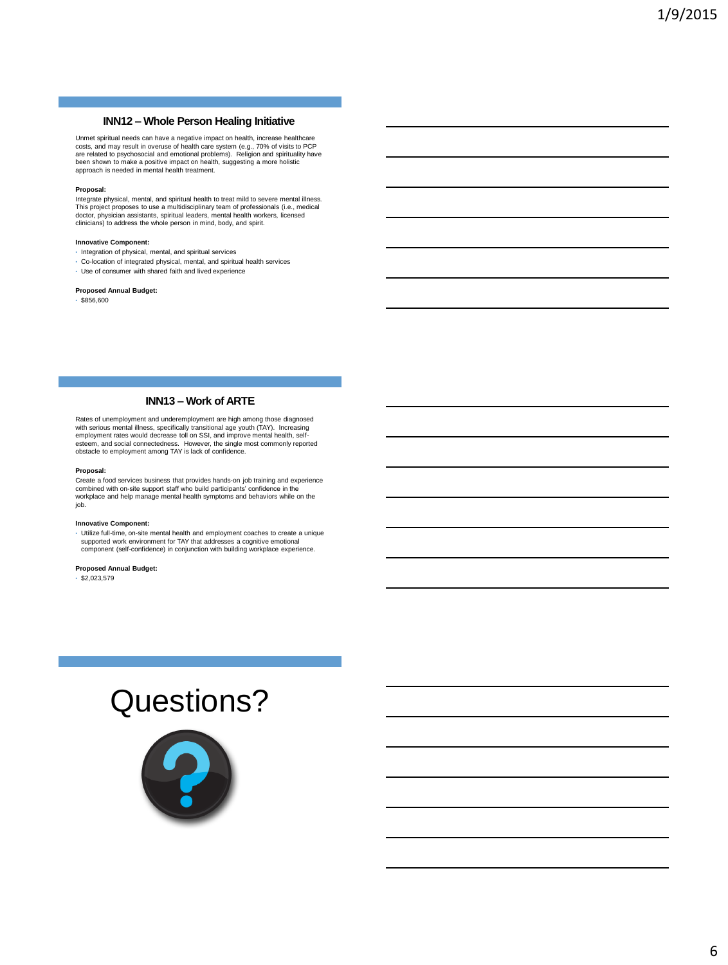# **INN12 – Whole Person Healing Initiative**

Unmet spiritual needs can have a negative impact on health, increase healthcare costs, and may result in overuse of health care system (e.g., 70% of visits to PCP are related to psychosocial and emotional problems). Religion and spirituality have been shown to make a positive impact on health, suggesting a more holistic approach is needed in mental health treatment.

## **Proposal:**

Integrate physical, mental, and spiritual health to treat mild to severe mental illness. This project proposes to use a multidisciplinary team of professionals (i.e., medical<br>doctor, physician assistants, spiritual leaders, mental health workers, licensed<br>clinicians) to address the whole person in mind, body,

#### **Innovative Component:**

- Integration of physical, mental, and spiritual services
- Co-location of integrated physical, mental, and spiritual health services
- Use of consumer with shared faith and lived experience

# **Proposed Annual Budget:**

 $•$ \$856,600

# **INN13 – Work of ARTE**

Rates of unemployment and underemployment are high among those diagnosed<br>with serious mental illness, specifically transitional age youth (TAY). Increasing<br>employment rates would decrease toll on SSI, and improve mental he esteem, and social connectedness. However, the single most commonly reported obstacle to employment among TAY is lack of confidence.

#### **Proposal:**

Create a food services business that provides hands-on job training and experience combined with on-site support staff who build participants' confidence in the workplace and help manage mental health symptoms and behaviors while on the job.

# **Innovative Component:**

• Utilize full-time, on-site mental health and employment coaches to create a unique supported work environment for TAY that addresses a cognitive emotional component (self-confidence) in conjunction with building workplace experience.

**Proposed Annual Budget:**

 $\cdot$  \$2,023,579

# Questions?